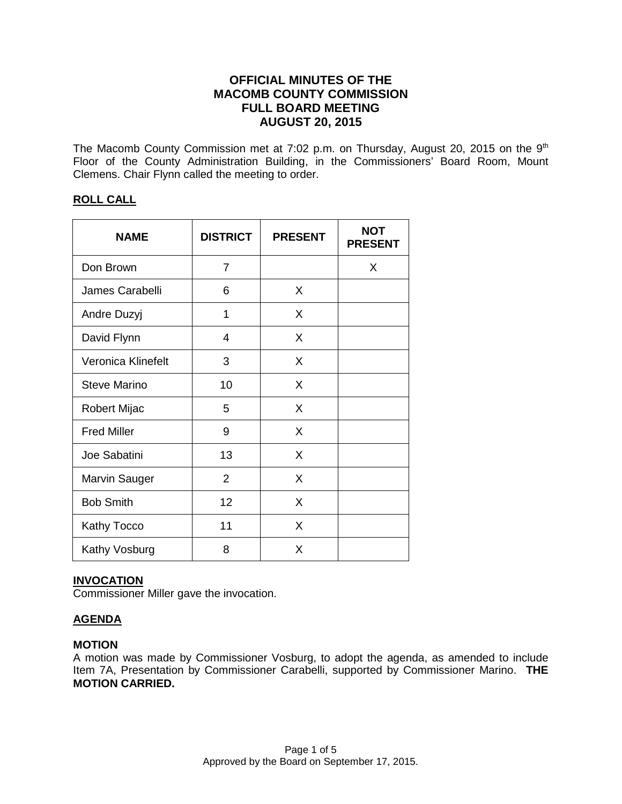# **OFFICIAL MINUTES OF THE MACOMB COUNTY COMMISSION FULL BOARD MEETING AUGUST 20, 2015**

The Macomb County Commission met at 7:02 p.m. on Thursday, August 20, 2015 on the 9<sup>th</sup> Floor of the County Administration Building, in the Commissioners' Board Room, Mount Clemens. Chair Flynn called the meeting to order.

# **ROLL CALL**

| <b>NAME</b>          | <b>DISTRICT</b> | <b>PRESENT</b> | <b>NOT</b><br><b>PRESENT</b> |
|----------------------|-----------------|----------------|------------------------------|
| Don Brown            | 7               |                | X                            |
| James Carabelli      | 6               | X              |                              |
| Andre Duzyj          | 1               | X              |                              |
| David Flynn          | 4               | X              |                              |
| Veronica Klinefelt   | 3               | X              |                              |
| <b>Steve Marino</b>  | 10              | X              |                              |
| <b>Robert Mijac</b>  | 5               | X              |                              |
| <b>Fred Miller</b>   | 9               | X              |                              |
| Joe Sabatini         | 13              | X              |                              |
| <b>Marvin Sauger</b> | $\overline{2}$  | X              |                              |
| <b>Bob Smith</b>     | 12              | X              |                              |
| <b>Kathy Tocco</b>   | 11              | X              |                              |
| Kathy Vosburg        | 8               | X              |                              |

# **INVOCATION**

Commissioner Miller gave the invocation.

# **AGENDA**

## **MOTION**

A motion was made by Commissioner Vosburg, to adopt the agenda, as amended to include Item 7A, Presentation by Commissioner Carabelli, supported by Commissioner Marino. **THE MOTION CARRIED.**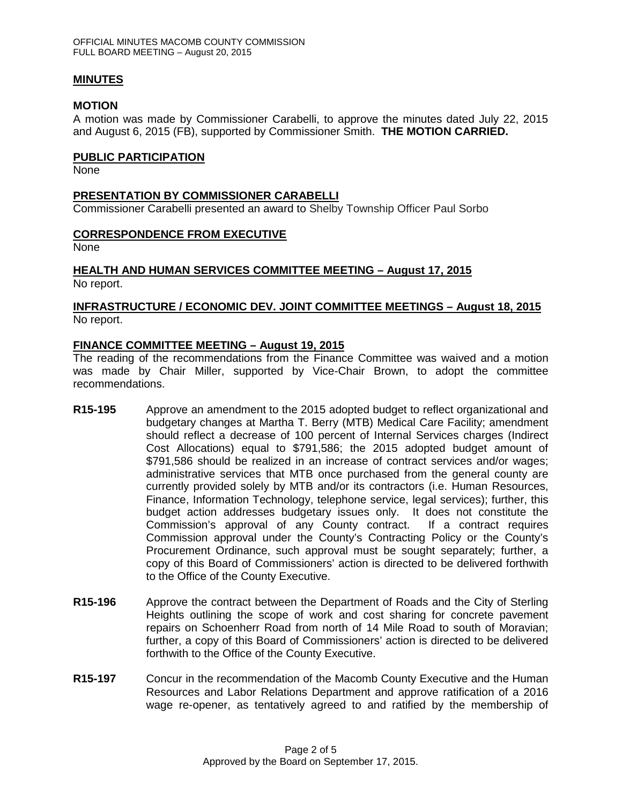## **MINUTES**

## **MOTION**

A motion was made by Commissioner Carabelli, to approve the minutes dated July 22, 2015 and August 6, 2015 (FB), supported by Commissioner Smith. **THE MOTION CARRIED.** 

## **PUBLIC PARTICIPATION**

None

## **PRESENTATION BY COMMISSIONER CARABELLI**

Commissioner Carabelli presented an award to Shelby Township Officer Paul Sorbo

## **CORRESPONDENCE FROM EXECUTIVE**

None

## **HEALTH AND HUMAN SERVICES COMMITTEE MEETING – August 17, 2015** No report.

# **INFRASTRUCTURE / ECONOMIC DEV. JOINT COMMITTEE MEETINGS – August 18, 2015** No report.

# **FINANCE COMMITTEE MEETING – August 19, 2015**

The reading of the recommendations from the Finance Committee was waived and a motion was made by Chair Miller, supported by Vice-Chair Brown, to adopt the committee recommendations.

- **R15-195** Approve an amendment to the 2015 adopted budget to reflect organizational and budgetary changes at Martha T. Berry (MTB) Medical Care Facility; amendment should reflect a decrease of 100 percent of Internal Services charges (Indirect Cost Allocations) equal to \$791,586; the 2015 adopted budget amount of \$791,586 should be realized in an increase of contract services and/or wages; administrative services that MTB once purchased from the general county are currently provided solely by MTB and/or its contractors (i.e. Human Resources, Finance, Information Technology, telephone service, legal services); further, this budget action addresses budgetary issues only. It does not constitute the Commission's approval of any County contract. If a contract requires Commission approval under the County's Contracting Policy or the County's Procurement Ordinance, such approval must be sought separately; further, a copy of this Board of Commissioners' action is directed to be delivered forthwith to the Office of the County Executive.
- **R15-196** Approve the contract between the Department of Roads and the City of Sterling Heights outlining the scope of work and cost sharing for concrete pavement repairs on Schoenherr Road from north of 14 Mile Road to south of Moravian; further, a copy of this Board of Commissioners' action is directed to be delivered forthwith to the Office of the County Executive.
- **R15-197** Concur in the recommendation of the Macomb County Executive and the Human Resources and Labor Relations Department and approve ratification of a 2016 wage re-opener, as tentatively agreed to and ratified by the membership of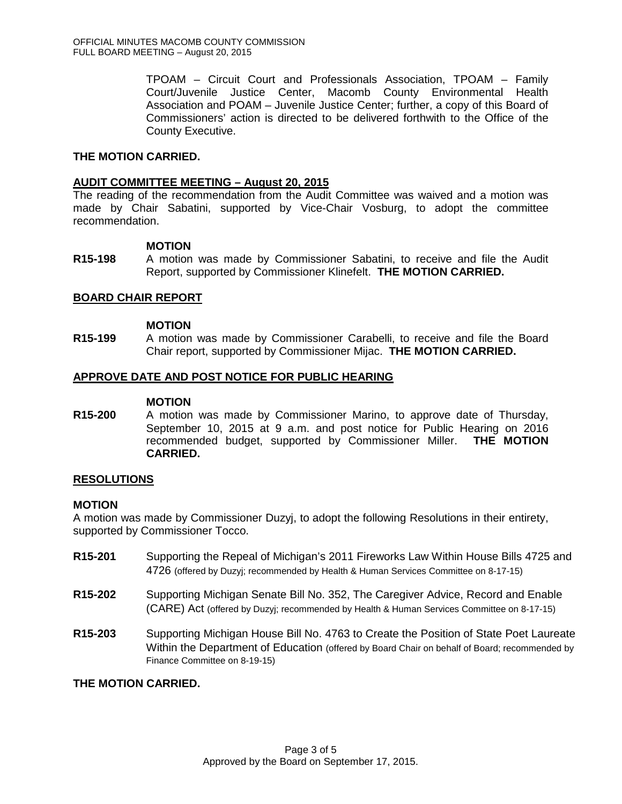TPOAM – Circuit Court and Professionals Association, TPOAM – Family Court/Juvenile Justice Center, Macomb County Environmental Health Association and POAM – Juvenile Justice Center; further, a copy of this Board of Commissioners' action is directed to be delivered forthwith to the Office of the County Executive.

# **THE MOTION CARRIED.**

## **AUDIT COMMITTEE MEETING – August 20, 2015**

The reading of the recommendation from the Audit Committee was waived and a motion was made by Chair Sabatini, supported by Vice-Chair Vosburg, to adopt the committee recommendation.

## **MOTION**

**R15-198** A motion was made by Commissioner Sabatini, to receive and file the Audit Report, supported by Commissioner Klinefelt. **THE MOTION CARRIED.**

## **BOARD CHAIR REPORT**

#### **MOTION**

**R15-199** A motion was made by Commissioner Carabelli, to receive and file the Board Chair report, supported by Commissioner Mijac. **THE MOTION CARRIED.**

## **APPROVE DATE AND POST NOTICE FOR PUBLIC HEARING**

#### **MOTION**

**R15-200** A motion was made by Commissioner Marino, to approve date of Thursday, September 10, 2015 at 9 a.m. and post notice for Public Hearing on 2016 recommended budget, supported by Commissioner Miller. **THE MOTION CARRIED.**

## **RESOLUTIONS**

## **MOTION**

A motion was made by Commissioner Duzyj, to adopt the following Resolutions in their entirety, supported by Commissioner Tocco.

- **R15-201** Supporting the Repeal of Michigan's 2011 Fireworks Law Within House Bills 4725 and 4726 (offered by Duzyj; recommended by Health & Human Services Committee on 8-17-15)
- **R15-202** Supporting Michigan Senate Bill No. 352, The Caregiver Advice, Record and Enable (CARE) Act (offered by Duzyj; recommended by Health & Human Services Committee on 8-17-15)
- **R15-203** Supporting Michigan House Bill No. 4763 to Create the Position of State Poet Laureate Within the Department of Education (offered by Board Chair on behalf of Board; recommended by Finance Committee on 8-19-15)

## **THE MOTION CARRIED.**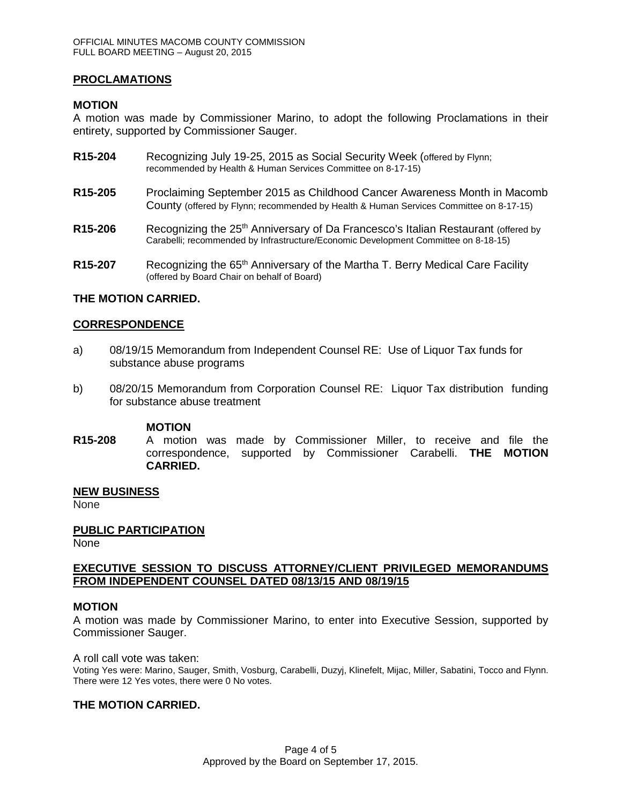## **PROCLAMATIONS**

## **MOTION**

A motion was made by Commissioner Marino, to adopt the following Proclamations in their entirety, supported by Commissioner Sauger.

- **R15-204** Recognizing July 19-25, 2015 as Social Security Week (offered by Flynn; recommended by Health & Human Services Committee on 8-17-15)
- **R15-205** Proclaiming September 2015 as Childhood Cancer Awareness Month in Macomb County (offered by Flynn; recommended by Health & Human Services Committee on 8-17-15)
- R15-206 Recognizing the 25<sup>th</sup> Anniversary of Da Francesco's Italian Restaurant (offered by Carabelli; recommended by Infrastructure/Economic Development Committee on 8-18-15)
- **R15-207** Recognizing the 65<sup>th</sup> Anniversary of the Martha T. Berry Medical Care Facility (offered by Board Chair on behalf of Board)

## **THE MOTION CARRIED.**

#### **CORRESPONDENCE**

- a) 08/19/15 Memorandum from Independent Counsel RE: Use of Liquor Tax funds for substance abuse programs
- b) 08/20/15 Memorandum from Corporation Counsel RE: Liquor Tax distribution funding for substance abuse treatment

#### **MOTION**

**R15-208** A motion was made by Commissioner Miller, to receive and file the correspondence, supported by Commissioner Carabelli. **THE MOTION CARRIED.**

#### **NEW BUSINESS**

None

## **PUBLIC PARTICIPATION**

None

## **EXECUTIVE SESSION TO DISCUSS ATTORNEY/CLIENT PRIVILEGED MEMORANDUMS FROM INDEPENDENT COUNSEL DATED 08/13/15 AND 08/19/15**

#### **MOTION**

A motion was made by Commissioner Marino, to enter into Executive Session, supported by Commissioner Sauger.

A roll call vote was taken:

Voting Yes were: Marino, Sauger, Smith, Vosburg, Carabelli, Duzyj, Klinefelt, Mijac, Miller, Sabatini, Tocco and Flynn. There were 12 Yes votes, there were 0 No votes.

## **THE MOTION CARRIED.**